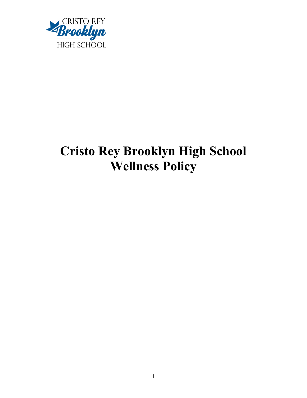

# **Cristo Rey Brooklyn High School Wellness Policy**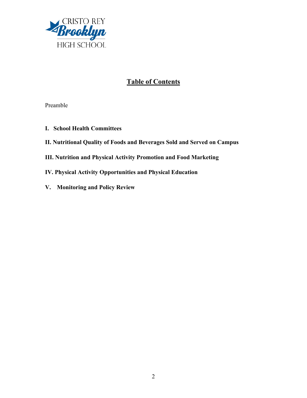

# **Table of Contents**

Preamble

- **I. School Health Committees**
- **II. Nutritional Quality of Foods and Beverages Sold and Served on Campus**
- **III. Nutrition and Physical Activity Promotion and Food Marketing**
- **IV. Physical Activity Opportunities and Physical Education**
- **V. Monitoring and Policy Review**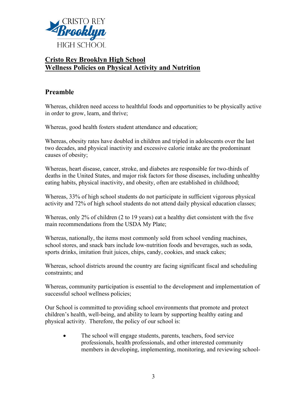

## **Cristo Rey Brooklyn High School Wellness Policies on Physical Activity and Nutrition**

## **Preamble**

Whereas, children need access to healthful foods and opportunities to be physically active in order to grow, learn, and thrive;

Whereas, good health fosters student attendance and education;

Whereas, obesity rates have doubled in children and tripled in adolescents over the last two decades, and physical inactivity and excessive calorie intake are the predominant causes of obesity;

Whereas, heart disease, cancer, stroke, and diabetes are responsible for two-thirds of deaths in the United States, and major risk factors for those diseases, including unhealthy eating habits, physical inactivity, and obesity, often are established in childhood;

Whereas, 33% of high school students do not participate in sufficient vigorous physical activity and 72% of high school students do not attend daily physical education classes;

Whereas, only 2% of children (2 to 19 years) eat a healthy diet consistent with the five main recommendations from the USDA My Plate;

Whereas, nationally, the items most commonly sold from school vending machines, school stores, and snack bars include low-nutrition foods and beverages, such as soda, sports drinks, imitation fruit juices, chips, candy, cookies, and snack cakes;

Whereas, school districts around the country are facing significant fiscal and scheduling constraints; and

Whereas, community participation is essential to the development and implementation of successful school wellness policies;

Our School is committed to providing school environments that promote and protect children's health, well-being, and ability to learn by supporting healthy eating and physical activity. Therefore, the policy of our school is:

• The school will engage students, parents, teachers, food service professionals, health professionals, and other interested community members in developing, implementing, monitoring, and reviewing school-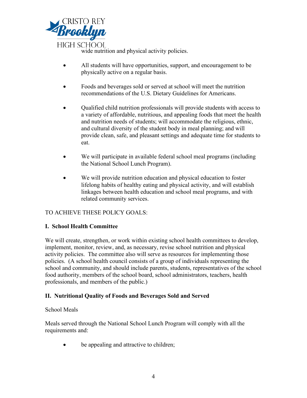

wide nutrition and physical activity policies.

- All students will have opportunities, support, and encouragement to be physically active on a regular basis.
- Foods and beverages sold or served at school will meet the nutrition recommendations of the U.S. Dietary Guidelines for Americans.
- Qualified child nutrition professionals will provide students with access to a variety of affordable, nutritious, and appealing foods that meet the health and nutrition needs of students; will accommodate the religious, ethnic, and cultural diversity of the student body in meal planning; and will provide clean, safe, and pleasant settings and adequate time for students to eat.
- We will participate in available federal school meal programs (including the National School Lunch Program).
- We will provide nutrition education and physical education to foster lifelong habits of healthy eating and physical activity, and will establish linkages between health education and school meal programs, and with related community services.

## TO ACHIEVE THESE POLICY GOALS:

#### **I. School Health Committee**

We will create, strengthen, or work within existing school health committees to develop, implement, monitor, review, and, as necessary, revise school nutrition and physical activity policies. The committee also will serve as resources for implementing those policies. (A school health council consists of a group of individuals representing the school and community, and should include parents, students, representatives of the school food authority, members of the school board, school administrators, teachers, health professionals, and members of the public.)

## **II. Nutritional Quality of Foods and Beverages Sold and Served**

#### School Meals

Meals served through the National School Lunch Program will comply with all the requirements and:

• be appealing and attractive to children;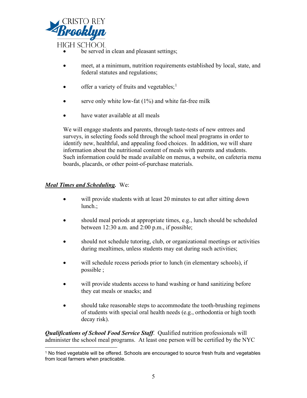

be served in clean and pleasant settings;

- meet, at a minimum, nutrition requirements established by local, state, and federal statutes and regulations;
- offer a variety of fruits and vegetables;<sup>[1](#page-4-0)</sup>
- serve only white low-fat  $(1%)$  and white fat-free milk
- have water available at all meals

We will engage students and parents, through taste-tests of new entrees and surveys, in selecting foods sold through the school meal programs in order to identify new, healthful, and appealing food choices. In addition, we will share information about the nutritional content of meals with parents and students. Such information could be made available on menus, a website, on cafeteria menu boards, placards, or other point-of-purchase materials.

#### *Meal Times and Scheduling.* We:

- will provide students with at least 20 minutes to eat after sitting down lunch.;
- should meal periods at appropriate times, e.g., lunch should be scheduled between 12:30 a.m. and 2:00 p.m., if possible;
- should not schedule tutoring, club, or organizational meetings or activities during mealtimes, unless students may eat during such activities;
- will schedule recess periods prior to lunch (in elementary schools), if possible ;
- will provide students access to hand washing or hand sanitizing before they eat meals or snacks; and
- should take reasonable steps to accommodate the tooth-brushing regimens of students with special oral health needs (e.g., orthodontia or high tooth decay risk).

*Qualifications of School Food Service Staff*. Qualified nutrition professionals will administer the school meal programs. At least one person will be certified by the NYC

<span id="page-4-0"></span><sup>&</sup>lt;sup>1</sup> No fried vegetable will be offered. Schools are encouraged to source fresh fruits and vegetables from local farmers when practicable.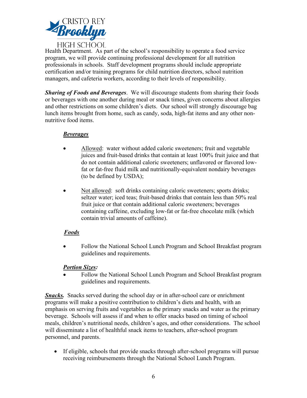

Health Department. As part of the school's responsibility to operate a food service program, we will provide continuing professional development for all nutrition professionals in schools. Staff development programs should include appropriate certification and/or training programs for child nutrition directors, school nutrition managers, and cafeteria workers, according to their levels of responsibility.

*Sharing of Foods and Beverages*. We will discourage students from sharing their foods or beverages with one another during meal or snack times, given concerns about allergies and other restrictions on some children's diets. Our school will strongly discourage bag lunch items brought from home, such as candy, soda, high-fat items and any other nonnutritive food items.

#### *Beverages*

- Allowed: water without added caloric sweeteners; fruit and vegetable juices and fruit-based drinks that contain at least 100% fruit juice and that do not contain additional caloric sweeteners; unflavored or flavored lowfat or fat-free fluid milk and nutritionally-equivalent nondairy beverages (to be defined by USDA);
- Not allowed: soft drinks containing caloric sweeteners; sports drinks; seltzer water; iced teas; fruit-based drinks that contain less than 50% real fruit juice or that contain additional caloric sweeteners; beverages containing caffeine, excluding low-fat or fat-free chocolate milk (which contain trivial amounts of caffeine).

#### *Foods*

• Follow the National School Lunch Program and School Breakfast program guidelines and requirements.

#### *Portion Sizes:*

• Follow the National School Lunch Program and School Breakfast program guidelines and requirements.

*Snacks.* Snacks served during the school day or in after-school care or enrichment programs will make a positive contribution to children's diets and health, with an emphasis on serving fruits and vegetables as the primary snacks and water as the primary beverage. Schools will assess if and when to offer snacks based on timing of school meals, children's nutritional needs, children's ages, and other considerations. The school will disseminate a list of healthful snack items to teachers, after-school program personnel, and parents.

• If eligible, schools that provide snacks through after-school programs will pursue receiving reimbursements through the National School Lunch Program.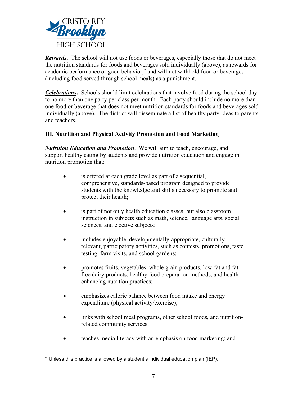

*Rewards***.** The school will not use foods or beverages, especially those that do not meet the nutrition standards for foods and beverages sold individually (above), as rewards for academic performance or good behavior, $<sup>2</sup>$  $<sup>2</sup>$  $<sup>2</sup>$  and will not withhold food or beverages</sup> (including food served through school meals) as a punishment.

*Celebrations***.** Schools should limit celebrations that involve food during the school day to no more than one party per class per month. Each party should include no more than one food or beverage that does not meet nutrition standards for foods and beverages sold individually (above). The district will disseminate a list of healthy party ideas to parents and teachers.

#### **III. Nutrition and Physical Activity Promotion and Food Marketing**

*Nutrition Education and Promotion*. We will aim to teach, encourage, and support healthy eating by students and provide nutrition education and engage in nutrition promotion that:

- is offered at each grade level as part of a sequential, comprehensive, standards-based program designed to provide students with the knowledge and skills necessary to promote and protect their health;
- is part of not only health education classes, but also classroom instruction in subjects such as math, science, language arts, social sciences, and elective subjects;
- includes enjoyable, developmentally-appropriate, culturallyrelevant, participatory activities, such as contests, promotions, taste testing, farm visits, and school gardens;
- promotes fruits, vegetables, whole grain products, low-fat and fatfree dairy products, healthy food preparation methods, and healthenhancing nutrition practices;
- emphasizes caloric balance between food intake and energy expenditure (physical activity/exercise);
- links with school meal programs, other school foods, and nutritionrelated community services;
- teaches media literacy with an emphasis on food marketing; and

<span id="page-6-0"></span><sup>2</sup> Unless this practice is allowed by a student's individual education plan (IEP).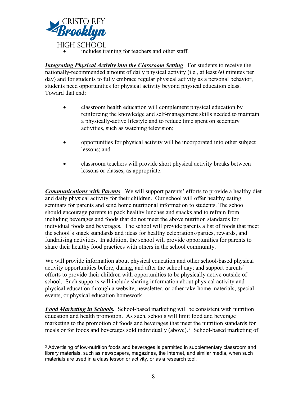

includes training for teachers and other staff.

*Integrating Physical Activity into the Classroom Setting*. For students to receive the nationally-recommended amount of daily physical activity (i.e., at least 60 minutes per day) and for students to fully embrace regular physical activity as a personal behavior, students need opportunities for physical activity beyond physical education class. Toward that end:

- classroom health education will complement physical education by reinforcing the knowledge and self-management skills needed to maintain a physically-active lifestyle and to reduce time spent on sedentary activities, such as watching television;
- opportunities for physical activity will be incorporated into other subject lessons; and
- classroom teachers will provide short physical activity breaks between lessons or classes, as appropriate.

*Communications with Parents*. We will support parents' efforts to provide a healthy diet and daily physical activity for their children. Our school will offer healthy eating seminars for parents and send home nutritional information to students. The school should encourage parents to pack healthy lunches and snacks and to refrain from including beverages and foods that do not meet the above nutrition standards for individual foods and beverages. The school will provide parents a list of foods that meet the school's snack standards and ideas for healthy celebrations/parties, rewards, and fundraising activities. In addition, the school will provide opportunities for parents to share their healthy food practices with others in the school community.

We will provide information about physical education and other school-based physical activity opportunities before, during, and after the school day; and support parents' efforts to provide their children with opportunities to be physically active outside of school. Such supports will include sharing information about physical activity and physical education through a website, newsletter, or other take-home materials, special events, or physical education homework.

*Food Marketing in Schools.* School-based marketing will be consistent with nutrition education and health promotion. As such, schools will limit food and beverage marketing to the promotion of foods and beverages that meet the nutrition standards for meals or for foods and beverages sold individually (above).<sup>[3](#page-7-0)</sup> School-based marketing of

<span id="page-7-0"></span> $3$  Advertising of low-nutrition foods and beverages is permitted in supplementary classroom and library materials, such as newspapers, magazines, the Internet, and similar media, when such materials are used in a class lesson or activity, or as a research tool.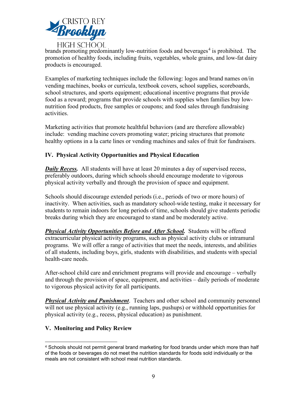

brands promoting predominantly low-nutrition foods and beverages<sup>[4](#page-8-0)</sup> is prohibited. The promotion of healthy foods, including fruits, vegetables, whole grains, and low-fat dairy products is encouraged.

Examples of marketing techniques include the following: logos and brand names on/in vending machines, books or curricula, textbook covers, school supplies, scoreboards, school structures, and sports equipment; educational incentive programs that provide food as a reward; programs that provide schools with supplies when families buy lownutrition food products, free samples or coupons; and food sales through fundraising activities.

Marketing activities that promote healthful behaviors (and are therefore allowable) include: vending machine covers promoting water; pricing structures that promote healthy options in a la carte lines or vending machines and sales of fruit for fundraisers.

#### **IV. Physical Activity Opportunities and Physical Education**

*Daily Recess.* All students will have at least 20 minutes a day of supervised recess, preferably outdoors, during which schools should encourage moderate to vigorous physical activity verbally and through the provision of space and equipment.

Schools should discourage extended periods (i.e., periods of two or more hours) of inactivity. When activities, such as mandatory school-wide testing, make it necessary for students to remain indoors for long periods of time, schools should give students periodic breaks during which they are encouraged to stand and be moderately active.

*Physical Activity Opportunities Before and After School.* Students will be offered extracurricular physical activity programs, such as physical activity clubs or intramural programs. We will offer a range of activities that meet the needs, interests, and abilities of all students, including boys, girls, students with disabilities, and students with special health-care needs.

After-school child care and enrichment programs will provide and encourage – verbally and through the provision of space, equipment, and activities – daily periods of moderate to vigorous physical activity for all participants.

*Physical Activity and Punishment*. Teachers and other school and community personnel will not use physical activity (e.g., running laps, pushups) or withhold opportunities for physical activity (e.g., recess, physical education) as punishment.

#### **V. Monitoring and Policy Review**

<span id="page-8-0"></span><sup>&</sup>lt;sup>4</sup> Schools should not permit general brand marketing for food brands under which more than half of the foods or beverages do not meet the nutrition standards for foods sold individually or the meals are not consistent with school meal nutrition standards.